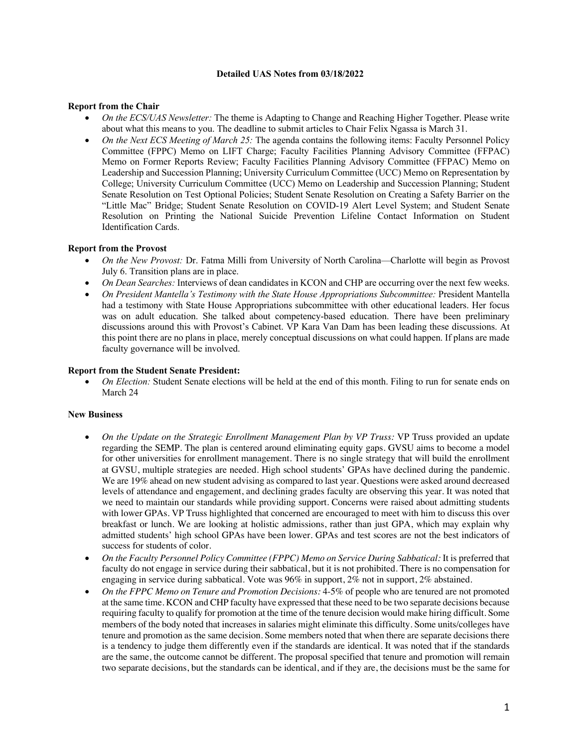### **Detailed UAS Notes from 03/18/2022**

# **Report from the Chair**

- *On the ECS/UAS Newsletter:* The theme is Adapting to Change and Reaching Higher Together. Please write about what this means to you. The deadline to submit articles to Chair Felix Ngassa is March 31.
- *On the Next ECS Meeting of March 25:* The agenda contains the following items: Faculty Personnel Policy Committee (FPPC) Memo on LIFT Charge; Faculty Facilities Planning Advisory Committee (FFPAC) Memo on Former Reports Review; Faculty Facilities Planning Advisory Committee (FFPAC) Memo on Leadership and Succession Planning; University Curriculum Committee (UCC) Memo on Representation by College; University Curriculum Committee (UCC) Memo on Leadership and Succession Planning; Student Senate Resolution on Test Optional Policies; Student Senate Resolution on Creating a Safety Barrier on the "Little Mac" Bridge; Student Senate Resolution on COVID-19 Alert Level System; and Student Senate Resolution on Printing the National Suicide Prevention Lifeline Contact Information on Student Identification Cards.

### **Report from the Provost**

- *On the New Provost:* Dr. Fatma Milli from University of North Carolina—Charlotte will begin as Provost July 6. Transition plans are in place.
- *On Dean Searches:* Interviews of dean candidates in KCON and CHP are occurring over the next few weeks.
- *On President Mantella's Testimony with the State House Appropriations Subcommittee:* President Mantella had a testimony with State House Appropriations subcommittee with other educational leaders. Her focus was on adult education. She talked about competency-based education. There have been preliminary discussions around this with Provost's Cabinet. VP Kara Van Dam has been leading these discussions. At this point there are no plans in place, merely conceptual discussions on what could happen. If plans are made faculty governance will be involved.

#### **Report from the Student Senate President:**

• *On Election:* Student Senate elections will be held at the end of this month. Filing to run for senate ends on March 24

# **New Business**

- *On the Update on the Strategic Enrollment Management Plan by VP Truss:* VP Truss provided an update regarding the SEMP. The plan is centered around eliminating equity gaps. GVSU aims to become a model for other universities for enrollment management. There is no single strategy that will build the enrollment at GVSU, multiple strategies are needed. High school students' GPAs have declined during the pandemic. We are 19% ahead on new student advising as compared to last year. Questions were asked around decreased levels of attendance and engagement, and declining grades faculty are observing this year. It was noted that we need to maintain our standards while providing support. Concerns were raised about admitting students with lower GPAs. VP Truss highlighted that concerned are encouraged to meet with him to discuss this over breakfast or lunch. We are looking at holistic admissions, rather than just GPA, which may explain why admitted students' high school GPAs have been lower. GPAs and test scores are not the best indicators of success for students of color.
- *On the Faculty Personnel Policy Committee (FPPC) Memo on Service During Sabbatical:* It is preferred that faculty do not engage in service during their sabbatical, but it is not prohibited. There is no compensation for engaging in service during sabbatical. Vote was 96% in support, 2% not in support, 2% abstained.
- *On the FPPC Memo on Tenure and Promotion Decisions:* 4-5% of people who are tenured are not promoted at the same time. KCON and CHP faculty have expressed that these need to be two separate decisions because requiring faculty to qualify for promotion at the time of the tenure decision would make hiring difficult. Some members of the body noted that increases in salaries might eliminate this difficulty. Some units/colleges have tenure and promotion as the same decision. Some members noted that when there are separate decisions there is a tendency to judge them differently even if the standards are identical. It was noted that if the standards are the same, the outcome cannot be different. The proposal specified that tenure and promotion will remain two separate decisions, but the standards can be identical, and if they are, the decisions must be the same for